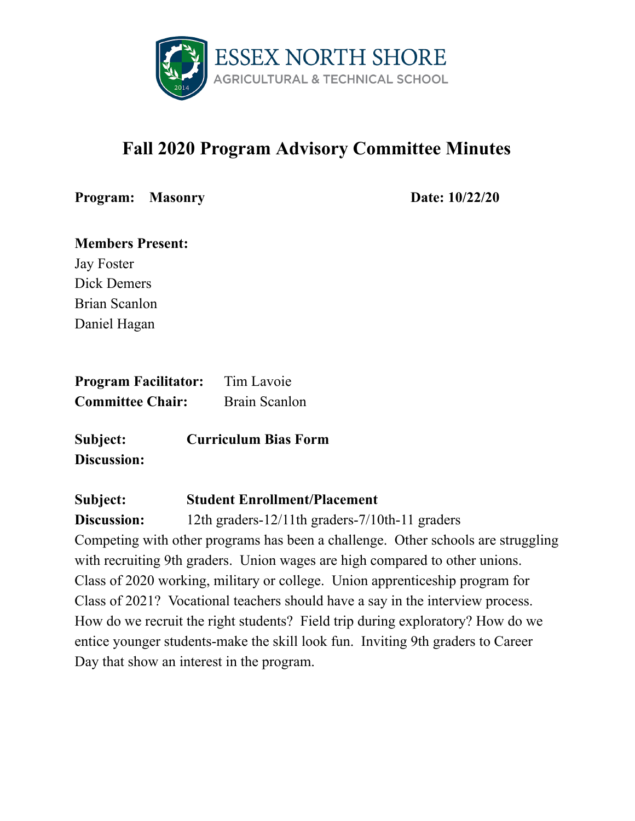

# **Fall 2020 Program Advisory Committee Minutes**

**Program: Masonry Date: 10/22/20**

| <b>Members Present:</b> |
|-------------------------|
| <b>Jay Foster</b>       |
| Dick Demers             |
| Brian Scanlon           |
| Daniel Hagan            |

| <b>Program Facilitator:</b> | Tim Lavoie    |
|-----------------------------|---------------|
| <b>Committee Chair:</b>     | Brain Scanlon |

**Subject: Curriculum Bias Form Discussion:**

#### **Subject: Student Enrollment/Placement**

**Discussion:** 12th graders-12/11th graders-7/10th-11 graders Competing with other programs has been a challenge. Other schools are struggling with recruiting 9th graders. Union wages are high compared to other unions. Class of 2020 working, military or college. Union apprenticeship program for Class of 2021? Vocational teachers should have a say in the interview process. How do we recruit the right students? Field trip during exploratory? How do we entice younger students-make the skill look fun. Inviting 9th graders to Career Day that show an interest in the program.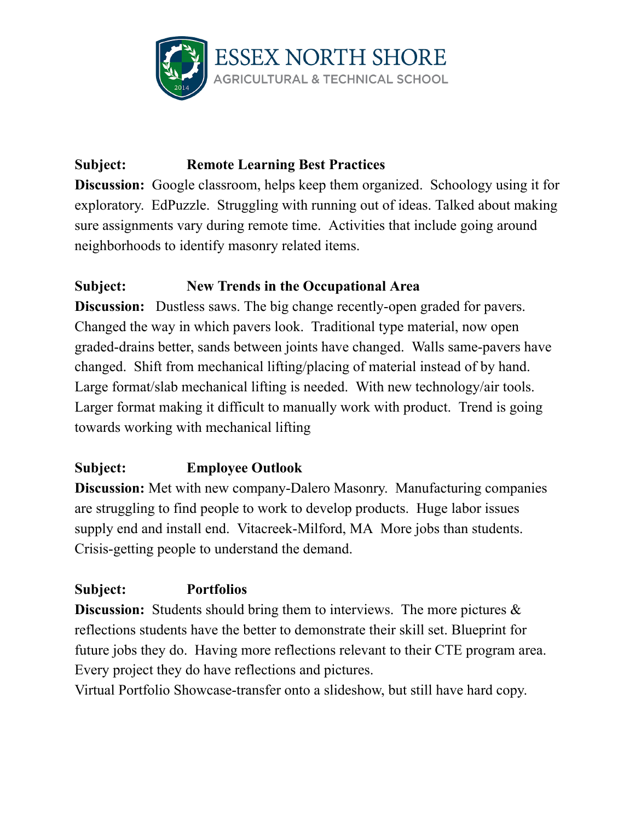

# **Subject: Remote Learning Best Practices**

**Discussion:** Google classroom, helps keep them organized. Schoology using it for exploratory. EdPuzzle. Struggling with running out of ideas. Talked about making sure assignments vary during remote time. Activities that include going around neighborhoods to identify masonry related items.

#### **Subject: New Trends in the Occupational Area**

**Discussion:** Dustless saws. The big change recently-open graded for pavers. Changed the way in which pavers look. Traditional type material, now open graded-drains better, sands between joints have changed. Walls same-pavers have changed. Shift from mechanical lifting/placing of material instead of by hand. Large format/slab mechanical lifting is needed. With new technology/air tools. Larger format making it difficult to manually work with product. Trend is going towards working with mechanical lifting

## **Subject: Employee Outlook**

**Discussion:** Met with new company-Dalero Masonry. Manufacturing companies are struggling to find people to work to develop products. Huge labor issues supply end and install end. Vitacreek-Milford, MA More jobs than students. Crisis-getting people to understand the demand.

## **Subject: Portfolios**

**Discussion:** Students should bring them to interviews. The more pictures  $\&$ reflections students have the better to demonstrate their skill set. Blueprint for future jobs they do. Having more reflections relevant to their CTE program area. Every project they do have reflections and pictures.

Virtual Portfolio Showcase-transfer onto a slideshow, but still have hard copy.